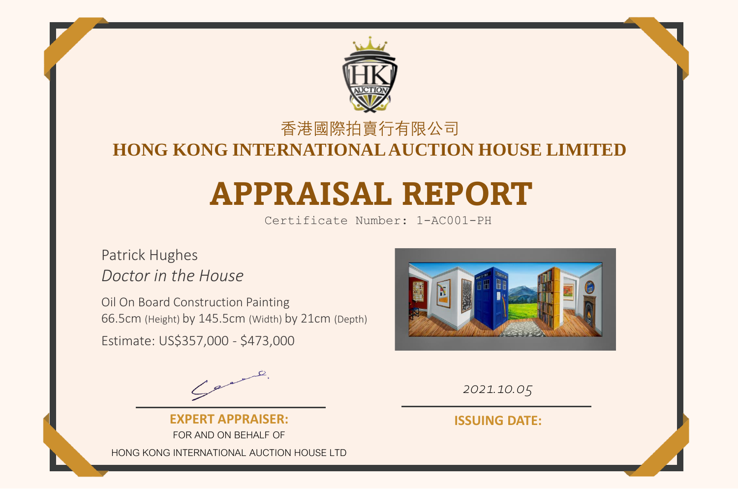

### 香港國際拍賣行有限公司

# **HONG KONG INTERNATIONAL AUCTION HOUSE LIMIT**

# **APPRAISAL REPORT**

Certificate Number: 1-AC001-PH

## Patrick Hughes *Doctor in the House*

Oil On Board Construction Painting 66.5cm (Height) by 145.5cm (Width) by 21cm (Depth) Estimate: US\$357,000 - \$473,000



*2021.10.05*

**EXPERT APPRAISER:** FOR AND ON BEHALF OF HONG KONG INTERNATIONAL AUCTION HOUSE LTD

**ISSUING DATE:**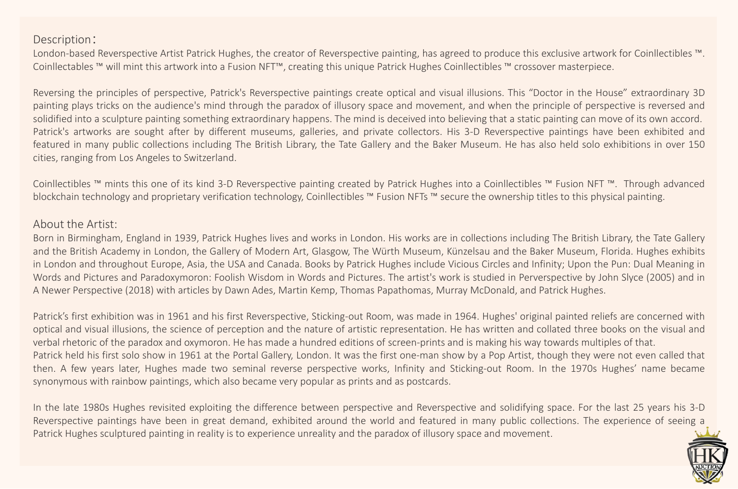#### Description:

London-based Reverspective Artist Patrick Hughes, the creator of Reverspective painting, has agreed to produce this exclusive artwork for Coinllectibles ™. Coinllectables ™ will mint this artwork into a Fusion NFT™, creating this unique Patrick Hughes Coinllectibles ™ crossover masterpiece.

Reversing the principles of perspective, Patrick's Reverspective paintings create optical and visual illusions. This "Doctor in the House" extraordinary 3D painting plays tricks on the audience's mind through the paradox of illusory space and movement, and when the principle of perspective is reversed and solidified into a sculpture painting something extraordinary happens. The mind is deceived into believing that a static painting can move of its own accord. Patrick's artworks are sought after by different museums, galleries, and private collectors. His 3-D Reverspective paintings have been exhibited and featured in many public collections including The British Library, the Tate Gallery and the Baker Museum. He has also held solo exhibitions in over 150 cities, ranging from Los Angeles to Switzerland.

Coinllectibles ™ mints this one of its kind 3-D Reverspective painting created by Patrick Hughes into a Coinllectibles ™ Fusion NFT ™. Through advanced blockchain technology and proprietary verification technology, Coinllectibles ™ Fusion NFTs ™ secure the ownership titles to this physical painting.

#### About the Artist:

Born in Birmingham, England in 1939, Patrick Hughes lives and works in London. His works are in collections including The British Library, the Tate Gallery and the British Academy in London, the Gallery of Modern Art, Glasgow, The Würth Museum, Künzelsau and the Baker Museum, Florida. Hughes exhibits in London and throughout Europe, Asia, the USA and Canada. Books by Patrick Hughes include Vicious Circles and Infinity; Upon the Pun: Dual Meaning in Words and Pictures and Paradoxymoron: Foolish Wisdom in Words and Pictures. The artist's work is studied in Perverspective by John Slyce (2005) and in A Newer Perspective (2018) with articles by Dawn Ades, Martin Kemp, Thomas Papathomas, Murray McDonald, and Patrick Hughes.

Patrick's first exhibition was in 1961 and his first Reverspective, Sticking-out Room, was made in 1964. Hughes' original painted reliefs are concerned with optical and visual illusions, the science of perception and the nature of artistic representation. He has written and collated three books on the visual and verbal rhetoric of the paradox and oxymoron. He has made a hundred editions of screen-prints and is making his way towards multiples of that. Patrick held his first solo show in 1961 at the Portal Gallery, London. It was the first one-man show by a Pop Artist, though they were not even called that then. A few years later, Hughes made two seminal reverse perspective works, Infinity and Sticking-out Room. In the 1970s Hughes' name became synonymous with rainbow paintings, which also became very popular as prints and as postcards.

In the late 1980s Hughes revisited exploiting the difference between perspective and Reverspective and solidifying space. For the last 25 years his 3-D Reverspective paintings have been in great demand, exhibited around the world and featured in many public collections. The experience of seeing a Patrick Hughes sculptured painting in reality is to experience unreality and the paradox of illusory space and movement.